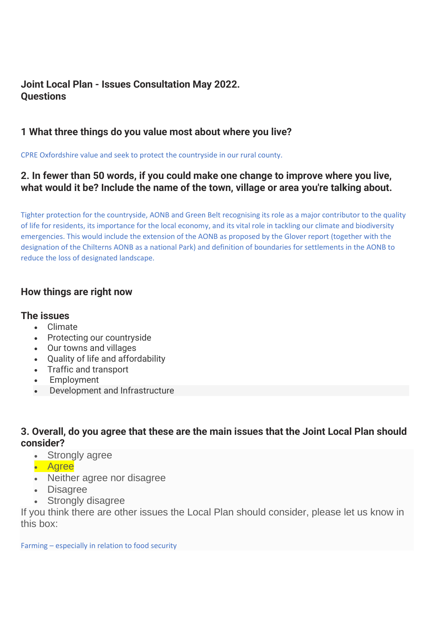# **Joint Local Plan - Issues Consultation May 2022. Questions**

### **1 What three things do you value most about where you live?**

CPRE Oxfordshire value and seek to protect the countryside in our rural county.

### **2. In fewer than 50 words, if you could make one change to improve where you live, what would it be? Include the name of the town, village or area you're talking about.**

Tighter protection for the countryside, AONB and Green Belt recognising its role as a major contributor to the quality of life for residents, its importance for the local economy, and its vital role in tackling our climate and biodiversity emergencies. This would include the extension of the AONB as proposed by the Glover report (together with the designation of the Chilterns AONB as a national Park) and definition of boundaries for settlements in the AONB to reduce the loss of designated landscape.

### **How things are right now**

#### **The issues**

- Climate
- Protecting our countryside
- Our towns and villages
- Quality of life and affordability
- Traffic and transport
- **Employment**
- Development and Infrastructure

# **3. Overall, do you agree that these are the main issues that the Joint Local Plan should consider?**

- Strongly agree
- Agree
- Neither agree nor disagree
- Disagree
- Strongly disagree

If you think there are other issues the Local Plan should consider, please let us know in this box: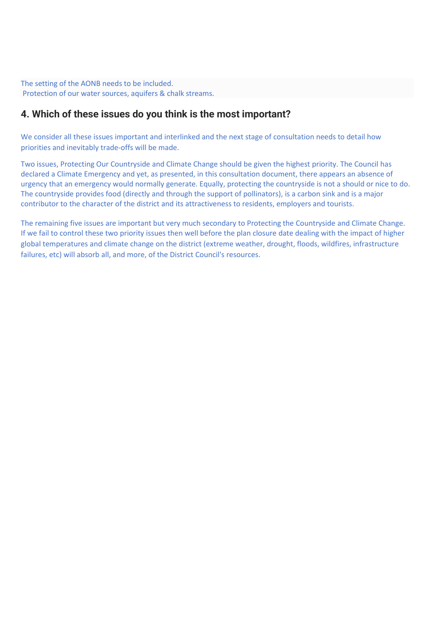The setting of the AONB needs to be included. Protection of our water sources, aquifers & chalk streams.

### **4. Which of these issues do you think is the most important?**

We consider all these issues important and interlinked and the next stage of consultation needs to detail how priorities and inevitably trade-offs will be made.

Two issues, Protecting Our Countryside and Climate Change should be given the highest priority. The Council has declared a Climate Emergency and yet, as presented, in this consultation document, there appears an absence of urgency that an emergency would normally generate. Equally, protecting the countryside is not a should or nice to do. The countryside provides food (directly and through the support of pollinators), is a carbon sink and is a major contributor to the character of the district and its attractiveness to residents, employers and tourists.

The remaining five issues are important but very much secondary to Protecting the Countryside and Climate Change. If we fail to control these two priority issues then well before the plan closure date dealing with the impact of higher global temperatures and climate change on the district (extreme weather, drought, floods, wildfires, infrastructure failures, etc) will absorb all, and more, of the District Council's resources.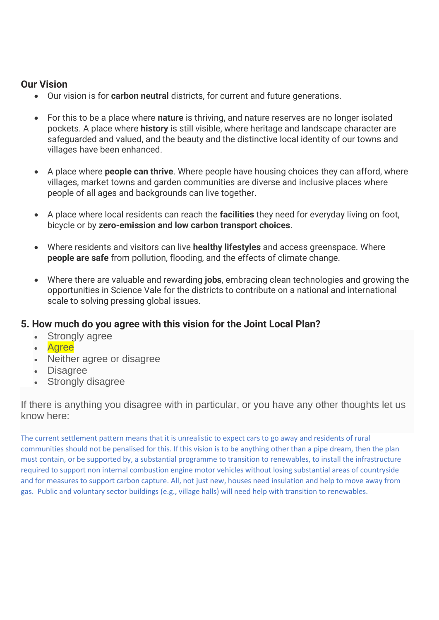### **Our Vision**

- Our vision is for **carbon neutral** districts, for current and future generations.
- For this to be a place where **nature** is thriving, and nature reserves are no longer isolated pockets. A place where **history** is still visible, where heritage and landscape character are safeguarded and valued, and the beauty and the distinctive local identity of our towns and villages have been enhanced.
- A place where **people can thrive**. Where people have housing choices they can afford, where villages, market towns and garden communities are diverse and inclusive places where people of all ages and backgrounds can live together.
- A place where local residents can reach the **facilities** they need for everyday living on foot, bicycle or by **zero-emission and low carbon transport choices**.
- Where residents and visitors can live **healthy lifestyles** and access greenspace. Where **people are safe** from pollution, flooding, and the effects of climate change.
- Where there are valuable and rewarding **jobs**, embracing clean technologies and growing the opportunities in Science Vale for the districts to contribute on a national and international scale to solving pressing global issues.

# **5. How much do you agree with this vision for the Joint Local Plan?**

- Strongly agree
- Agree
- Neither agree or disagree
- Disagree
- Strongly disagree

If there is anything you disagree with in particular, or you have any other thoughts let us know here:

The current settlement pattern means that it is unrealistic to expect cars to go away and residents of rural communities should not be penalised for this. If this vision is to be anything other than a pipe dream, then the plan must contain, or be supported by, a substantial programme to transition to renewables, to install the infrastructure required to support non internal combustion engine motor vehicles without losing substantial areas of countryside and for measures to support carbon capture. All, not just new, houses need insulation and help to move away from gas. Public and voluntary sector buildings (e.g., village halls) will need help with transition to renewables.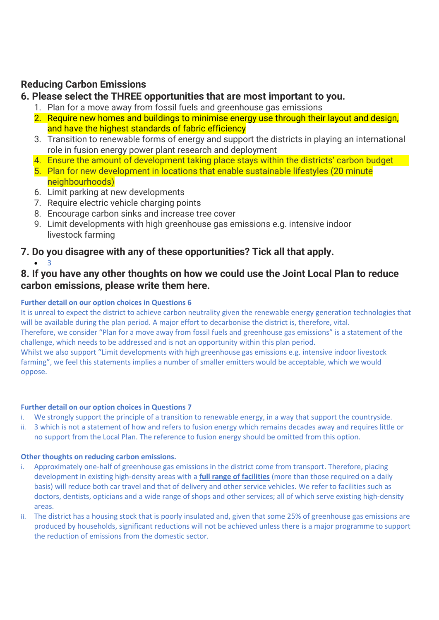# **Reducing Carbon Emissions**

### **6. Please select the THREE opportunities that are most important to you.**

- 1. Plan for a move away from fossil fuels and greenhouse gas emissions
- 2. Require new homes and buildings to minimise energy use through their layout and design, and have the highest standards of fabric efficiency
- 3. Transition to renewable forms of energy and support the districts in playing an international role in fusion energy power plant research and deployment
- 4. Ensure the amount of development taking place stays within the districts' carbon budget
- 5. Plan for new development in locations that enable sustainable lifestyles (20 minute neighbourhoods)
- 6. Limit parking at new developments
- 7. Require electric vehicle charging points
- 8. Encourage carbon sinks and increase tree cover
- 9. Limit developments with high greenhouse gas emissions e.g. intensive indoor livestock farming

### **7. Do you disagree with any of these opportunities? Tick all that apply.**

• 3

### **8. If you have any other thoughts on how we could use the Joint Local Plan to reduce carbon emissions, please write them here.**

#### **Further detail on our option choices in Questions 6**

It is unreal to expect the district to achieve carbon neutrality given the renewable energy generation technologies that will be available during the plan period. A major effort to decarbonise the district is, therefore, vital. Therefore, we consider "Plan for a move away from fossil fuels and greenhouse gas emissions" is a statement of the challenge, which needs to be addressed and is not an opportunity within this plan period.

Whilst we also support "Limit developments with high greenhouse gas emissions e.g. intensive indoor livestock farming", we feel this statements implies a number of smaller emitters would be acceptable, which we would oppose.

#### **Further detail on our option choices in Questions 7**

- i. We strongly support the principle of a transition to renewable energy, in a way that support the countryside.
- ii. 3 which is not a statement of how and refers to fusion energy which remains decades away and requires little or no support from the Local Plan. The reference to fusion energy should be omitted from this option.

#### **Other thoughts on reducing carbon emissions.**

- i. Approximately one-half of greenhouse gas emissions in the district come from transport. Therefore, placing development in existing high-density areas with a **full range of facilities** (more than those required on a daily basis) will reduce both car travel and that of delivery and other service vehicles. We refer to facilities such as doctors, dentists, opticians and a wide range of shops and other services; all of which serve existing high-density areas.
- ii. The district has a housing stock that is poorly insulated and, given that some 25% of greenhouse gas emissions are produced by households, significant reductions will not be achieved unless there is a major programme to support the reduction of emissions from the domestic sector.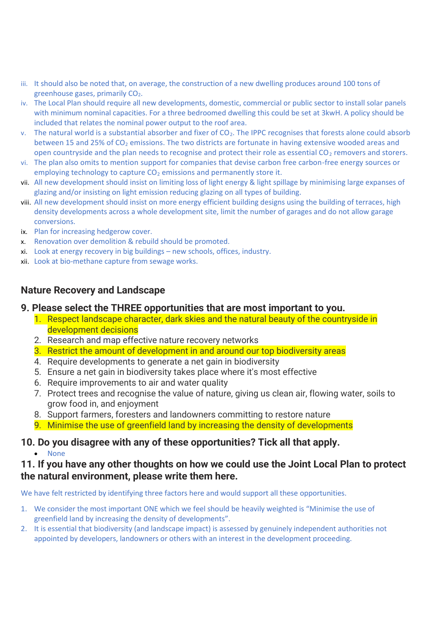- iii. It should also be noted that, on average, the construction of a new dwelling produces around 100 tons of greenhouse gases, primarily CO<sub>2</sub>.
- iv. The Local Plan should require all new developments, domestic, commercial or public sector to install solar panels with minimum nominal capacities. For a three bedroomed dwelling this could be set at 3kwH. A policy should be included that relates the nominal power output to the roof area.
- v. The natural world is a substantial absorber and fixer of CO<sub>2</sub>. The IPPC recognises that forests alone could absorb between 15 and 25% of  $CO<sub>2</sub>$  emissions. The two districts are fortunate in having extensive wooded areas and open countryside and the plan needs to recognise and protect their role as essential  $CO<sub>2</sub>$  removers and storers.
- vi. The plan also omits to mention support for companies that devise carbon free carbon-free energy sources or employing technology to capture  $CO<sub>2</sub>$  emissions and permanently store it.
- vii. All new development should insist on limiting loss of light energy & light spillage by minimising large expanses of glazing and/or insisting on light emission reducing glazing on all types of building.
- viii. All new development should insist on more energy efficient building designs using the building of terraces, high density developments across a whole development site, limit the number of garages and do not allow garage conversions.
- ix. Plan for increasing hedgerow cover.
- x. Renovation over demolition & rebuild should be promoted.
- xi. Look at energy recovery in big buildings new schools, offices, industry.
- xii. Look at bio-methane capture from sewage works.

### **Nature Recovery and Landscape**

#### **9. Please select the THREE opportunities that are most important to you.**

- 1. Respect landscape character, dark skies and the natural beauty of the countryside in development decisions
- 2. Research and map effective nature recovery networks
- 3. Restrict the amount of development in and around our top biodiversity areas
- 4. Require developments to generate a net gain in biodiversity
- 5. Ensure a net gain in biodiversity takes place where it's most effective
- 6. Require improvements to air and water quality
- 7. Protect trees and recognise the value of nature, giving us clean air, flowing water, soils to grow food in, and enjoyment
- 8. Support farmers, foresters and landowners committing to restore nature
- 9. Minimise the use of greenfield land by increasing the density of developments

# **10. Do you disagree with any of these opportunities? Tick all that apply.**

• None

### **11. If you have any other thoughts on how we could use the Joint Local Plan to protect the natural environment, please write them here.**

We have felt restricted by identifying three factors here and would support all these opportunities.

- 1. We consider the most important ONE which we feel should be heavily weighted is "Minimise the use of greenfield land by increasing the density of developments".
- 2. It is essential that biodiversity (and landscape impact) is assessed by genuinely independent authorities not appointed by developers, landowners or others with an interest in the development proceeding.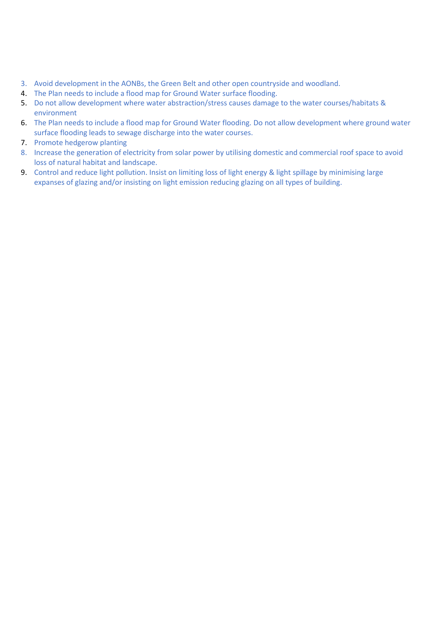- 3. Avoid development in the AONBs, the Green Belt and other open countryside and woodland.
- 4. The Plan needs to include a flood map for Ground Water surface flooding.
- 5. Do not allow development where water abstraction/stress causes damage to the water courses/habitats & environment
- 6. The Plan needs to include a flood map for Ground Water flooding. Do not allow development where ground water surface flooding leads to sewage discharge into the water courses.
- 7. Promote hedgerow planting
- 8. Increase the generation of electricity from solar power by utilising domestic and commercial roof space to avoid loss of natural habitat and landscape.
- 9. Control and reduce light pollution. Insist on limiting loss of light energy & light spillage by minimising large expanses of glazing and/or insisting on light emission reducing glazing on all types of building.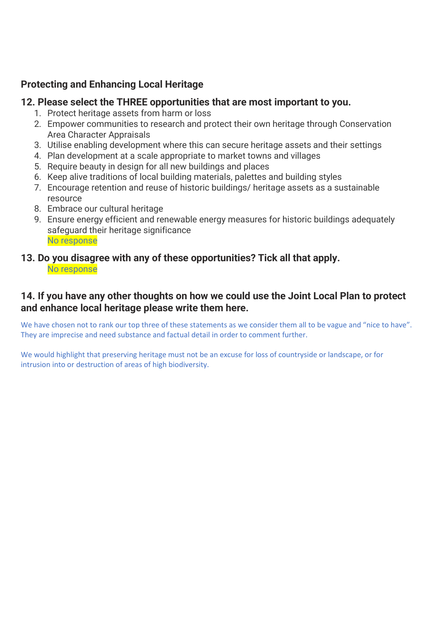# **Protecting and Enhancing Local Heritage**

### **12. Please select the THREE opportunities that are most important to you.**

- 1. Protect heritage assets from harm or loss
- 2. Empower communities to research and protect their own heritage through Conservation Area Character Appraisals
- 3. Utilise enabling development where this can secure heritage assets and their settings
- 4. Plan development at a scale appropriate to market towns and villages
- 5. Require beauty in design for all new buildings and places
- 6. Keep alive traditions of local building materials, palettes and building styles
- 7. Encourage retention and reuse of historic buildings/ heritage assets as a sustainable resource
- 8. Embrace our cultural heritage
- 9. Ensure energy efficient and renewable energy measures for historic buildings adequately safeguard their heritage significance No response
- **13. Do you disagree with any of these opportunities? Tick all that apply.** No response

# **14. If you have any other thoughts on how we could use the Joint Local Plan to protect and enhance local heritage please write them here.**

We have chosen not to rank our top three of these statements as we consider them all to be vague and "nice to have". They are imprecise and need substance and factual detail in order to comment further.

We would highlight that preserving heritage must not be an excuse for loss of countryside or landscape, or for intrusion into or destruction of areas of high biodiversity.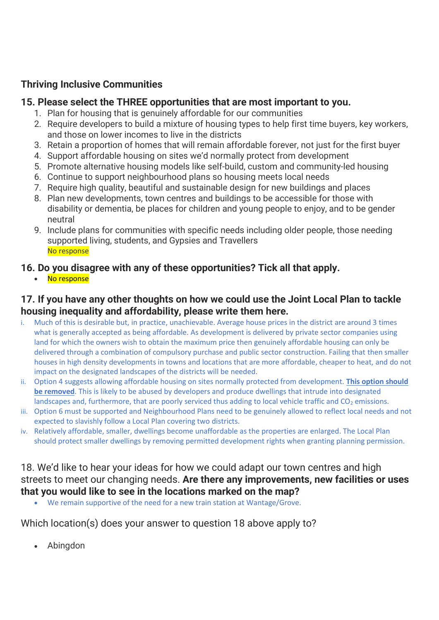# **Thriving Inclusive Communities**

### **15. Please select the THREE opportunities that are most important to you.**

- 1. Plan for housing that is genuinely affordable for our communities
- 2. Require developers to build a mixture of housing types to help first time buyers, key workers, and those on lower incomes to live in the districts
- 3. Retain a proportion of homes that will remain affordable forever, not just for the first buyer
- 4. Support affordable housing on sites we'd normally protect from development
- 5. Promote alternative housing models like self-build, custom and community-led housing
- 6. Continue to support neighbourhood plans so housing meets local needs
- 7. Require high quality, beautiful and sustainable design for new buildings and places
- 8. Plan new developments, town centres and buildings to be accessible for those with disability or dementia, be places for children and young people to enjoy, and to be gender neutral
- 9. Include plans for communities with specific needs including older people, those needing supported living, students, and Gypsies and Travellers No response

# **16. Do you disagree with any of these opportunities? Tick all that apply.**

• No response

# **17. If you have any other thoughts on how we could use the Joint Local Plan to tackle housing inequality and affordability, please write them here.**

- i. Much of this is desirable but, in practice, unachievable. Average house prices in the district are around 3 times what is generally accepted as being affordable. As development is delivered by private sector companies using land for which the owners wish to obtain the maximum price then genuinely affordable housing can only be delivered through a combination of compulsory purchase and public sector construction. Failing that then smaller houses in high density developments in towns and locations that are more affordable, cheaper to heat, and do not impact on the designated landscapes of the districts will be needed.
- ii. Option 4 suggests allowing affordable housing on sites normally protected from development. **This option should be removed**. This is likely to be abused by developers and produce dwellings that intrude into designated landscapes and, furthermore, that are poorly serviced thus adding to local vehicle traffic and  $CO<sub>2</sub>$  emissions.
- iii. Option 6 must be supported and Neighbourhood Plans need to be genuinely allowed to reflect local needs and not expected to slavishly follow a Local Plan covering two districts.
- iv. Relatively affordable, smaller, dwellings become unaffordable as the properties are enlarged. The Local Plan should protect smaller dwellings by removing permitted development rights when granting planning permission.

### 18. We'd like to hear your ideas for how we could adapt our town centres and high streets to meet our changing needs. **Are there any improvements, new facilities or uses that you would like to see in the locations marked on the map?**

We remain supportive of the need for a new train station at Wantage/Grove.

Which location(s) does your answer to question 18 above apply to?

• Abingdon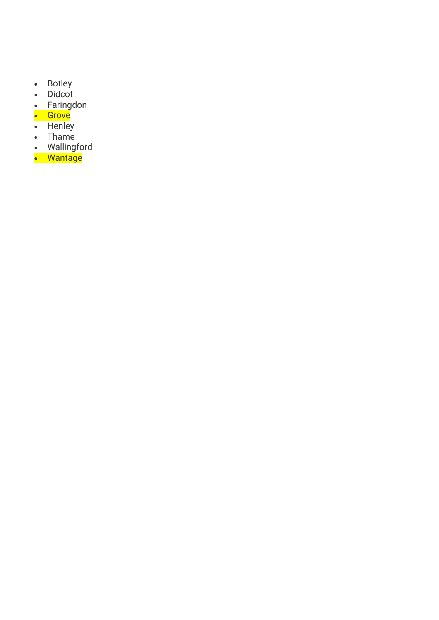- Botley
- Didcot
- Faringdon
- Grove
- Henley
- Thame
- Wallingford
- Wantage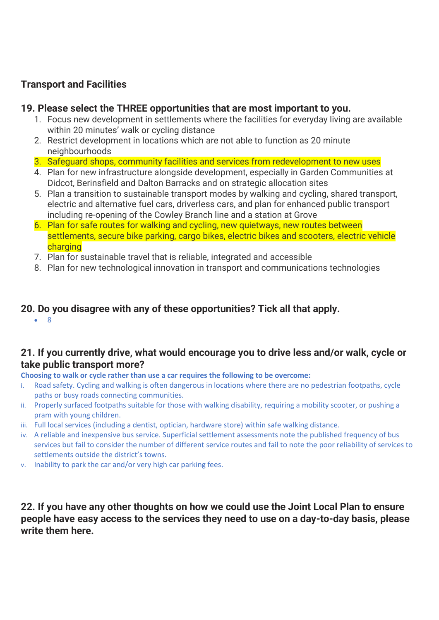# **Transport and Facilities**

### **19. Please select the THREE opportunities that are most important to you.**

- 1. Focus new development in settlements where the facilities for everyday living are available within 20 minutes' walk or cycling distance
- 2. Restrict development in locations which are not able to function as 20 minute neighbourhoods
- 3. Safeguard shops, community facilities and services from redevelopment to new uses
- 4. Plan for new infrastructure alongside development, especially in Garden Communities at Didcot, Berinsfield and Dalton Barracks and on strategic allocation sites
- 5. Plan a transition to sustainable transport modes by walking and cycling, shared transport, electric and alternative fuel cars, driverless cars, and plan for enhanced public transport including re-opening of the Cowley Branch line and a station at Grove
- 6. Plan for safe routes for walking and cycling, new quietways, new routes between settlements, secure bike parking, cargo bikes, electric bikes and scooters, electric vehicle charging
- 7. Plan for sustainable travel that is reliable, integrated and accessible
- 8. Plan for new technological innovation in transport and communications technologies

# **20. Do you disagree with any of these opportunities? Tick all that apply.**

• 8

# **21. If you currently drive, what would encourage you to drive less and/or walk, cycle or take public transport more?**

**Choosing to walk or cycle rather than use a car requires the following to be overcome:**

- i. Road safety. Cycling and walking is often dangerous in locations where there are no pedestrian footpaths, cycle paths or busy roads connecting communities.
- ii. Properly surfaced footpaths suitable for those with walking disability, requiring a mobility scooter, or pushing a pram with young children.
- iii. Full local services (including a dentist, optician, hardware store) within safe walking distance.
- iv. A reliable and inexpensive bus service. Superficial settlement assessments note the published frequency of bus services but fail to consider the number of different service routes and fail to note the poor reliability of services to settlements outside the district's towns.
- v. Inability to park the car and/or very high car parking fees.

**22. If you have any other thoughts on how we could use the Joint Local Plan to ensure people have easy access to the services they need to use on a day-to-day basis, please write them here.**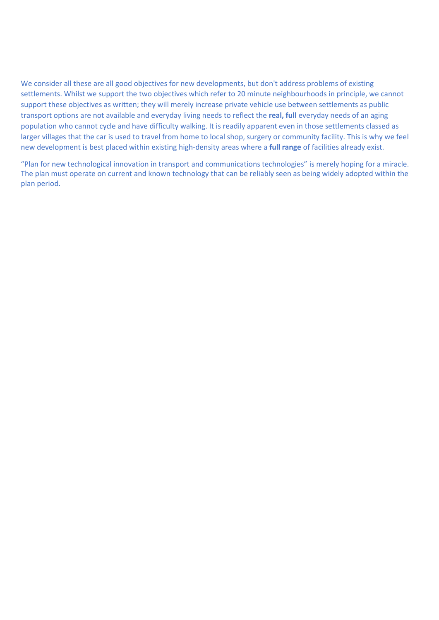We consider all these are all good objectives for new developments, but don't address problems of existing settlements. Whilst we support the two objectives which refer to 20 minute neighbourhoods in principle, we cannot support these objectives as written; they will merely increase private vehicle use between settlements as public transport options are not available and everyday living needs to reflect the **real, full** everyday needs of an aging population who cannot cycle and have difficulty walking. It is readily apparent even in those settlements classed as larger villages that the car is used to travel from home to local shop, surgery or community facility. This is why we feel new development is best placed within existing high-density areas where a **full range** of facilities already exist.

"Plan for new technological innovation in transport and communications technologies" is merely hoping for a miracle. The plan must operate on current and known technology that can be reliably seen as being widely adopted within the plan period.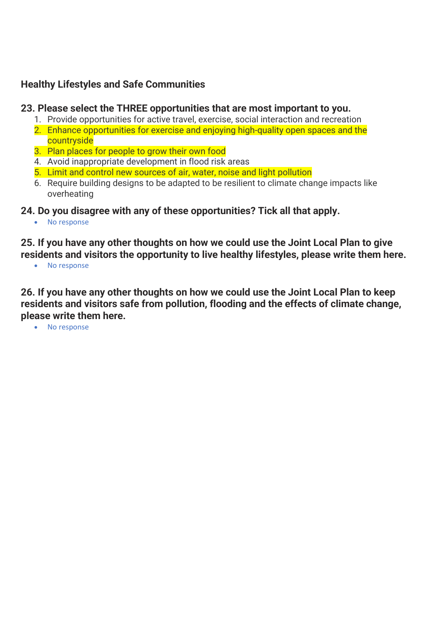# **Healthy Lifestyles and Safe Communities**

### **23. Please select the THREE opportunities that are most important to you.**

- 1. Provide opportunities for active travel, exercise, social interaction and recreation
- 2. Enhance opportunities for exercise and enjoying high-quality open spaces and the countryside
- 3. Plan places for people to grow their own food
- 4. Avoid inappropriate development in flood risk areas
- 5. Limit and control new sources of air, water, noise and light pollution
- 6. Require building designs to be adapted to be resilient to climate change impacts like overheating
- **24. Do you disagree with any of these opportunities? Tick all that apply.**
	- No response

**25. If you have any other thoughts on how we could use the Joint Local Plan to give residents and visitors the opportunity to live healthy lifestyles, please write them here.**

• No response

**26. If you have any other thoughts on how we could use the Joint Local Plan to keep residents and visitors safe from pollution, flooding and the effects of climate change, please write them here.**

• No response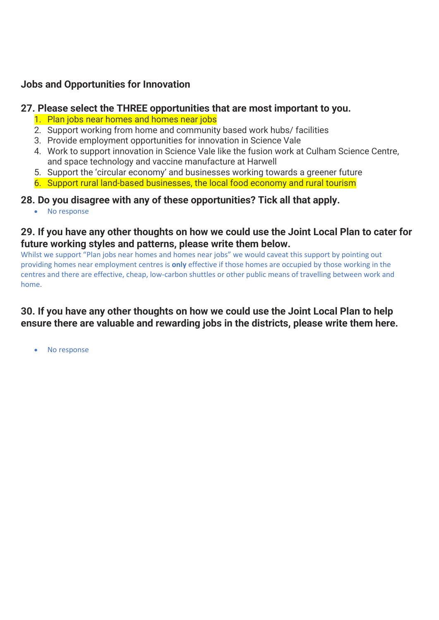# **Jobs and Opportunities for Innovation**

### **27. Please select the THREE opportunities that are most important to you.**

- 1. Plan jobs near homes and homes near jobs
- 2. Support working from home and community based work hubs/ facilities
- 3. Provide employment opportunities for innovation in Science Vale
- 4. Work to support innovation in Science Vale like the fusion work at Culham Science Centre, and space technology and vaccine manufacture at Harwell
- 5. Support the 'circular economy' and businesses working towards a greener future
- 6. Support rural land-based businesses, the local food economy and rural tourism

### **28. Do you disagree with any of these opportunities? Tick all that apply.**

• No response

### **29. If you have any other thoughts on how we could use the Joint Local Plan to cater for future working styles and patterns, please write them below.**

Whilst we support "Plan jobs near homes and homes near jobs" we would caveat this support by pointing out providing homes near employment centres is **only** effective if those homes are occupied by those working in the centres and there are effective, cheap, low-carbon shuttles or other public means of travelling between work and home.

# **30. If you have any other thoughts on how we could use the Joint Local Plan to help ensure there are valuable and rewarding jobs in the districts, please write them here.**

• No response